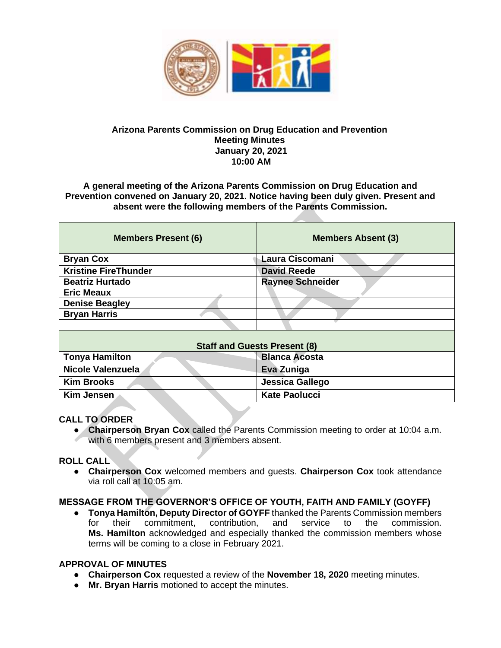

### **Arizona Parents Commission on Drug Education and Prevention Meeting Minutes January 20, 2021 10:00 AM**

**A general meeting of the Arizona Parents Commission on Drug Education and Prevention convened on January 20, 2021. Notice having been duly given. Present and absent were the following members of the Parents Commission.** 

| <b>Members Present (6)</b>          | <b>Members Absent (3)</b> |
|-------------------------------------|---------------------------|
| <b>Bryan Cox</b>                    | Laura Ciscomani           |
| <b>Kristine FireThunder</b>         | <b>David Reede</b>        |
| <b>Beatriz Hurtado</b>              | <b>Raynee Schneider</b>   |
| <b>Eric Meaux</b>                   |                           |
| <b>Denise Beagley</b>               |                           |
| <b>Bryan Harris</b>                 |                           |
|                                     |                           |
| <b>Staff and Guests Present (8)</b> |                           |
| <b>Tonya Hamilton</b>               | <b>Blanca Acosta</b>      |
| Nicole Valenzuela                   | Eva Zuniga                |
| <b>Kim Brooks</b>                   | Jessica Gallego           |
| <b>Kim Jensen</b>                   | <b>Kate Paolucci</b>      |

### **CALL TO ORDER**

- **Chairperson Bryan Cox** called the Parents Commission meeting to order at 10:04 a.m.
- with 6 members present and 3 members absent.

### **ROLL CALL**

● **Chairperson Cox** welcomed members and guests. **Chairperson Cox** took attendance via roll call at 10:05 am.

## **MESSAGE FROM THE GOVERNOR'S OFFICE OF YOUTH, FAITH AND FAMILY (GOYFF)**

● **Tonya Hamilton, Deputy Director of GOYFF** thanked the Parents Commission members for their commitment, contribution, and service to the commission. **Ms. Hamilton** acknowledged and especially thanked the commission members whose terms will be coming to a close in February 2021.

### **APPROVAL OF MINUTES**

- **Chairperson Cox** requested a review of the **November 18, 2020** meeting minutes.
- **Mr. Bryan Harris** motioned to accept the minutes.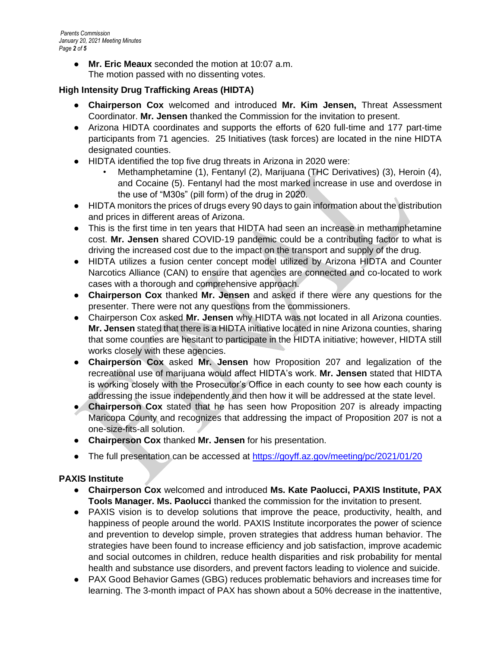*Parents Commission January 20, 2021 Meeting Minutes Page 2 of 5*

> ● **Mr. Eric Meaux** seconded the motion at 10:07 a.m. The motion passed with no dissenting votes.

## **High Intensity Drug Trafficking Areas (HIDTA)**

- **Chairperson Cox** welcomed and introduced **Mr. Kim Jensen,** Threat Assessment Coordinator. **Mr. Jensen** thanked the Commission for the invitation to present.
- Arizona HIDTA coordinates and supports the efforts of 620 full-time and 177 part-time participants from 71 agencies. 25 Initiatives (task forces) are located in the nine HIDTA designated counties.
- HIDTA identified the top five drug threats in Arizona in 2020 were:
	- Methamphetamine (1), Fentanyl (2), Marijuana (THC Derivatives) (3), Heroin (4), and Cocaine (5). Fentanyl had the most marked increase in use and overdose in the use of "M30s" (pill form) of the drug in 2020.
- HIDTA monitors the prices of drugs every 90 days to gain information about the distribution and prices in different areas of Arizona.
- This is the first time in ten years that HIDTA had seen an increase in methamphetamine cost. **Mr. Jensen** shared COVID-19 pandemic could be a contributing factor to what is driving the increased cost due to the impact on the transport and supply of the drug.
- HIDTA utilizes a fusion center concept model utilized by Arizona HIDTA and Counter Narcotics Alliance (CAN) to ensure that agencies are connected and co-located to work cases with a thorough and comprehensive approach.
- **Chairperson Cox** thanked **Mr. Jensen** and asked if there were any questions for the presenter. There were not any questions from the commissioners.
- Chairperson Cox asked **Mr. Jensen** why HIDTA was not located in all Arizona counties. **Mr. Jensen** stated that there is a HIDTA initiative located in nine Arizona counties, sharing that some counties are hesitant to participate in the HIDTA initiative; however, HIDTA still works closely with these agencies.
- **Chairperson Cox** asked **Mr. Jensen** how Proposition 207 and legalization of the recreational use of marijuana would affect HIDTA's work. **Mr. Jensen** stated that HIDTA is working closely with the Prosecutor's Office in each county to see how each county is addressing the issue independently and then how it will be addressed at the state level.
- **Chairperson Cox** stated that he has seen how Proposition 207 is already impacting Maricopa County and recognizes that addressing the impact of Proposition 207 is not a one-size-fits-all solution.
- **Chairperson Cox** thanked **Mr. Jensen** for his presentation.
- The full presentation can be accessed at<https://goyff.az.gov/meeting/pc/2021/01/20>

# **PAXIS Institute**

- **Chairperson Cox** welcomed and introduced **Ms. Kate Paolucci, PAXIS Institute, PAX Tools Manager. Ms. Paolucci** thanked the commission for the invitation to present.
- PAXIS vision is to develop solutions that improve the peace, productivity, health, and happiness of people around the world. PAXIS Institute incorporates the power of science and prevention to develop simple, proven strategies that address human behavior. The strategies have been found to increase efficiency and job satisfaction, improve academic and social outcomes in children, reduce health disparities and risk probability for mental health and substance use disorders, and prevent factors leading to violence and suicide.
- PAX Good Behavior Games (GBG) reduces problematic behaviors and increases time for learning. The 3-month impact of PAX has shown about a 50% decrease in the inattentive,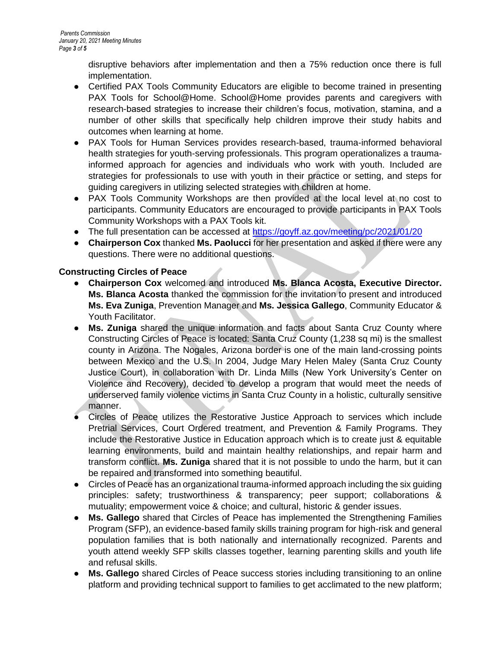disruptive behaviors after implementation and then a 75% reduction once there is full implementation.

- Certified PAX Tools Community Educators are eligible to become trained in presenting PAX Tools for School@Home. School@Home provides parents and caregivers with research-based strategies to increase their children's focus, motivation, stamina, and a number of other skills that specifically help children improve their study habits and outcomes when learning at home.
- PAX Tools for Human Services provides research-based, trauma-informed behavioral health strategies for youth-serving professionals. This program operationalizes a traumainformed approach for agencies and individuals who work with youth. Included are strategies for professionals to use with youth in their practice or setting, and steps for guiding caregivers in utilizing selected strategies with children at home.
- PAX Tools Community Workshops are then provided at the local level at no cost to participants. Community Educators are encouraged to provide participants in PAX Tools Community Workshops with a PAX Tools kit.
- The full presentation can be accessed at<https://goyff.az.gov/meeting/pc/2021/01/20>
- **Chairperson Cox** thanked **Ms. Paolucci** for her presentation and asked if there were any questions. There were no additional questions.

## **Constructing Circles of Peace**

- **Chairperson Cox** welcomed and introduced **Ms. Blanca Acosta, Executive Director. Ms. Blanca Acosta** thanked the commission for the invitation to present and introduced **Ms. Eva Zuniga**, Prevention Manager and **Ms. Jessica Gallego**, Community Educator & Youth Facilitator.
- **Ms. Zuniga** shared the unique information and facts about Santa Cruz County where Constructing Circles of Peace is located: Santa Cruz County (1,238 sq mi) is the smallest county in Arizona. The Nogales, Arizona border is one of the main land-crossing points between Mexico and the U.S. In 2004, Judge Mary Helen Maley (Santa Cruz County Justice Court), in collaboration with Dr. Linda Mills (New York University's Center on Violence and Recovery), decided to develop a program that would meet the needs of underserved family violence victims in Santa Cruz County in a holistic, culturally sensitive manner.
- Circles of Peace utilizes the Restorative Justice Approach to services which include Pretrial Services, Court Ordered treatment, and Prevention & Family Programs. They include the Restorative Justice in Education approach which is to create just & equitable learning environments, build and maintain healthy relationships, and repair harm and transform conflict. **Ms. Zuniga** shared that it is not possible to undo the harm, but it can be repaired and transformed into something beautiful.
- Circles of Peace has an organizational trauma-informed approach including the six guiding principles: safety; trustworthiness & transparency; peer support; collaborations & mutuality; empowerment voice & choice; and cultural, historic & gender issues.
- **Ms. Gallego** shared that Circles of Peace has implemented the Strengthening Families Program (SFP), an evidence-based family skills training program for high-risk and general population families that is both nationally and internationally recognized. Parents and youth attend weekly SFP skills classes together, learning parenting skills and youth life and refusal skills.
- **Ms. Gallego** shared Circles of Peace success stories including transitioning to an online platform and providing technical support to families to get acclimated to the new platform;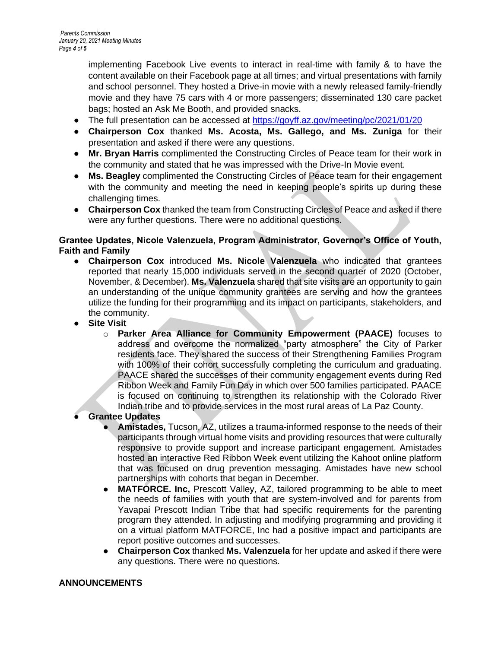implementing Facebook Live events to interact in real-time with family & to have the content available on their Facebook page at all times; and virtual presentations with family and school personnel. They hosted a Drive-in movie with a newly released family-friendly movie and they have 75 cars with 4 or more passengers; disseminated 130 care packet bags; hosted an Ask Me Booth, and provided snacks.

- The full presentation can be accessed at<https://goyff.az.gov/meeting/pc/2021/01/20>
- **Chairperson Cox** thanked **Ms. Acosta, Ms. Gallego, and Ms. Zuniga** for their presentation and asked if there were any questions.
- **Mr. Bryan Harris** complimented the Constructing Circles of Peace team for their work in the community and stated that he was impressed with the Drive-In Movie event.
- **Ms. Beagley** complimented the Constructing Circles of Peace team for their engagement with the community and meeting the need in keeping people's spirits up during these challenging times.
- **Chairperson Cox** thanked the team from Constructing Circles of Peace and asked if there were any further questions. There were no additional questions.

## **Grantee Updates, Nicole Valenzuela, Program Administrator, Governor's Office of Youth, Faith and Family**

- **Chairperson Cox** introduced **Ms. Nicole Valenzuela** who indicated that grantees reported that nearly 15,000 individuals served in the second quarter of 2020 (October, November, & December). **Ms. Valenzuela** shared that site visits are an opportunity to gain an understanding of the unique community grantees are serving and how the grantees utilize the funding for their programming and its impact on participants, stakeholders, and the community.
- **Site Visit**
	- o **Parker Area Alliance for Community Empowerment (PAACE)** focuses to address and overcome the normalized "party atmosphere" the City of Parker residents face. They shared the success of their Strengthening Families Program with 100% of their cohort successfully completing the curriculum and graduating. PAACE shared the successes of their community engagement events during Red Ribbon Week and Family Fun Day in which over 500 families participated. PAACE is focused on continuing to strengthen its relationship with the Colorado River Indian tribe and to provide services in the most rural areas of La Paz County.
- **Grantee Updates** 
	- **Amistades, Tucson, AZ, utilizes a trauma-informed response to the needs of their** participants through virtual home visits and providing resources that were culturally responsive to provide support and increase participant engagement. Amistades hosted an interactive Red Ribbon Week event utilizing the Kahoot online platform that was focused on drug prevention messaging. Amistades have new school partnerships with cohorts that began in December.
	- **MATFORCE. Inc,** Prescott Valley, AZ, tailored programming to be able to meet the needs of families with youth that are system-involved and for parents from Yavapai Prescott Indian Tribe that had specific requirements for the parenting program they attended. In adjusting and modifying programming and providing it on a virtual platform MATFORCE, Inc had a positive impact and participants are report positive outcomes and successes.
	- **Chairperson Cox** thanked **Ms. Valenzuela** for her update and asked if there were any questions. There were no questions.

### **ANNOUNCEMENTS**